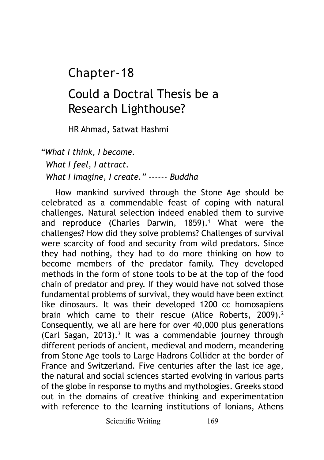## Chapter-18

## Could a Doctral Thesis be a Research Lighthouse?

HR Ahmad, Satwat Hashmi

*"What I think, I become. What I feel, I attract. What I imagine, I create." ------ Buddha*

How mankind survived through the Stone Age should be celebrated as a commendable feast of coping with natural challenges. Natural selection indeed enabled them to survive and reproduce (Charles Darwin, 1859).<sup>1</sup> What were the challenges? How did they solve problems? Challenges of survival were scarcity of food and security from wild predators. Since they had nothing, they had to do more thinking on how to become members of the predator family. They developed methods in the form of stone tools to be at the top of the food chain of predator and prey. If they would have not solved those fundamental problems of survival, they would have been extinct like dinosaurs. It was their developed 1200 cc homosapiens brain which came to their rescue (Alice Roberts, 2009).<sup>2</sup> Consequently, we all are here for over 40,000 plus generations (Carl Sagan, 2013).<sup>3</sup> It was a commendable journey through different periods of ancient, medieval and modern, meandering from Stone Age tools to Large Hadrons Collider at the border of France and Switzerland. Five centuries after the last ice age, the natural and social sciences started evolving in various parts of the globe in response to myths and mythologies. Greeks stood out in the domains of creative thinking and experimentation with reference to the learning institutions of Ionians, Athens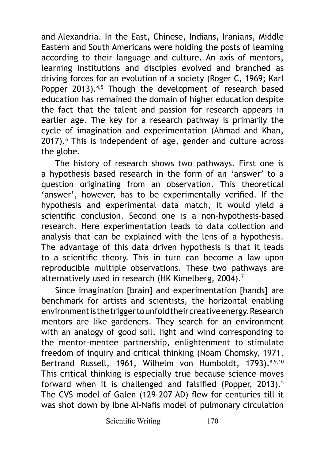and Alexandria. In the East, Chinese, Indians, Iranians, Middle Eastern and South Americans were holding the posts of learning according to their language and culture. An axis of mentors, learning institutions and disciples evolved and branched as driving forces for an evolution of a society (Roger C, 1969; Karl Popper 2013).<sup>4,5</sup> Though the development of research based education has remained the domain of higher education despite the fact that the talent and passion for research appears in earlier age. The key for a research pathway is primarily the cycle of imagination and experimentation (Ahmad and Khan, 2017).<sup>6</sup> This is independent of age, gender and culture across the globe.

The history of research shows two pathways. First one is a hypothesis based research in the form of an 'answer' to a question originating from an observation. This theoretical 'answer', however, has to be experimentally verified. If the hypothesis and experimental data match, it would yield a scientific conclusion. Second one is a non-hypothesis-based research. Here experimentation leads to data collection and analysis that can be explained with the lens of a hypothesis. The advantage of this data driven hypothesis is that it leads to a scientific theory. This in turn can become a law upon reproducible multiple observations. These two pathways are alternatively used in research (HK Kimelberg, 2004).<sup>7</sup>

Since imagination [brain] and experimentation [hands] are benchmark for artists and scientists, the horizontal enabling environment is the trigger to unfold their creative energy. Research mentors are like gardeners. They search for an environment with an analogy of good soil, light and wind corresponding to the mentor-mentee partnership, enlightenment to stimulate freedom of inquiry and critical thinking (Noam Chomsky, 1971, Bertrand Russell, 1961, Wilhelm von Humboldt, 1793).<sup>8,9,10</sup> This critical thinking is especially true because science moves forward when it is challenged and falsified (Popper, 2013).<sup>5</sup> The CVS model of Galen (129-207 AD) flew for centuries till it was shot down by Ibne Al-Nafis model of pulmonary circulation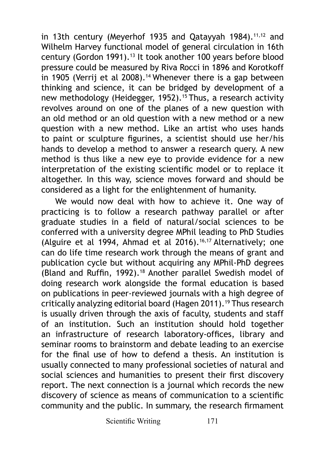in 13th century (Meverhof 1935 and Oatavyah 1984).<sup>11,12</sup> and Wilhelm Harvey functional model of general circulation in 16th century (Gordon 1991).<sup>13</sup> It took another 100 years before blood pressure could be measured by Riva Rocci in 1896 and Korotkoff in 1905 (Verrij et al 2008).<sup>14</sup> Whenever there is a gap between thinking and science, it can be bridged by development of a new methodology (Heidegger, 1952).<sup>15</sup> Thus, a research activity revolves around on one of the planes of a new question with an old method or an old question with a new method or a new question with a new method. Like an artist who uses hands to paint or sculpture figurines, a scientist should use her/his hands to develop a method to answer a research query. A new method is thus like a new eye to provide evidence for a new interpretation of the existing scientific model or to replace it altogether. In this way, science moves forward and should be considered as a light for the enlightenment of humanity.

We would now deal with how to achieve it. One way of practicing is to follow a research pathway parallel or after graduate studies in a field of natural/social sciences to be conferred with a university degree MPhil leading to PhD Studies (Alguire et al 1994, Ahmad et al 2016).16,17 Alternatively; one can do life time research work through the means of grant and publication cycle but without acquiring any MPhil-PhD degrees (Bland and Ruffin, 1992).18 Another parallel Swedish model of doing research work alongside the formal education is based on publications in peer-reviewed journals with a high degree of critically analyzing editorial board (Hagen 2011).<sup>19</sup> Thus research is usually driven through the axis of faculty, students and staff of an institution. Such an institution should hold together an infrastructure of research laboratory-offices, library and seminar rooms to brainstorm and debate leading to an exercise for the final use of how to defend a thesis. An institution is usually connected to many professional societies of natural and social sciences and humanities to present their first discovery report. The next connection is a journal which records the new discovery of science as means of communication to a scientific community and the public. In summary, the research firmament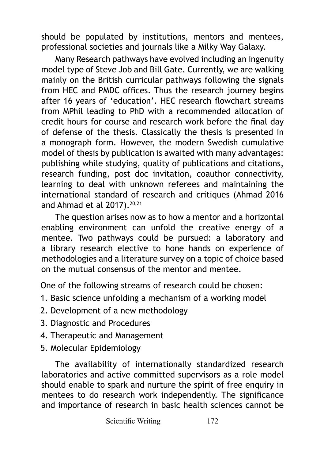should be populated by institutions, mentors and mentees, professional societies and journals like a Milky Way Galaxy.

Many Research pathways have evolved including an ingenuity model type of Steve Job and Bill Gate. Currently, we are walking mainly on the British curricular pathways following the signals from HEC and PMDC offices. Thus the research journey begins after 16 years of 'education'. HEC research flowchart streams from MPhil leading to PhD with a recommended allocation of credit hours for course and research work before the final day of defense of the thesis. Classically the thesis is presented in a monograph form. However, the modern Swedish cumulative model of thesis by publication is awaited with many advantages: publishing while studying, quality of publications and citations, research funding, post doc invitation, coauthor connectivity, learning to deal with unknown referees and maintaining the international standard of research and critiques (Ahmad 2016 and Ahmad et al  $2017$ ).<sup>20,21</sup>

The question arises now as to how a mentor and a horizontal enabling environment can unfold the creative energy of a mentee. Two pathways could be pursued: a laboratory and a library research elective to hone hands on experience of methodologies and a literature survey on a topic of choice based on the mutual consensus of the mentor and mentee.

One of the following streams of research could be chosen:

- 1. Basic science unfolding a mechanism of a working model
- 2. Development of a new methodology
- 3. Diagnostic and Procedures
- 4. Therapeutic and Management
- 5. Molecular Epidemiology

The availability of internationally standardized research laboratories and active committed supervisors as a role model should enable to spark and nurture the spirit of free enquiry in mentees to do research work independently. The significance and importance of research in basic health sciences cannot be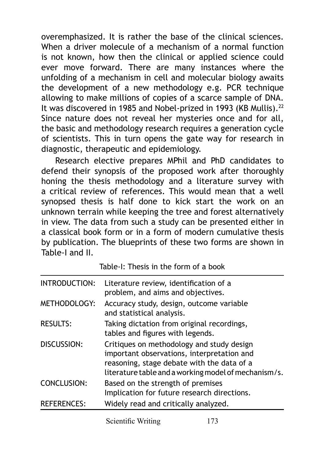overemphasized. It is rather the base of the clinical sciences. When a driver molecule of a mechanism of a normal function is not known, how then the clinical or applied science could ever move forward. There are many instances where the unfolding of a mechanism in cell and molecular biology awaits the development of a new methodology e.g. PCR technique allowing to make millions of copies of a scarce sample of DNA. It was discovered in 1985 and Nobel-prized in 1993 (KB Mullis).<sup>22</sup> Since nature does not reveal her mysteries once and for all, the basic and methodology research requires a generation cycle of scientists. This in turn opens the gate way for research in diagnostic, therapeutic and epidemiology.

Research elective prepares MPhil and PhD candidates to defend their synopsis of the proposed work after thoroughly honing the thesis methodology and a literature survey with a critical review of references. This would mean that a well synopsed thesis is half done to kick start the work on an unknown terrain while keeping the tree and forest alternatively in view. The data from such a study can be presented either in a classical book form or in a form of modern cumulative thesis by publication. The blueprints of these two forms are shown in Table-I and II.

| INTRODUCTION:      | Literature review, identification of a<br>problem, and aims and objectives.                                                                                                                   |
|--------------------|-----------------------------------------------------------------------------------------------------------------------------------------------------------------------------------------------|
| METHODOLOGY:       | Accuracy study, design, outcome variable<br>and statistical analysis.                                                                                                                         |
| <b>RESULTS:</b>    | Taking dictation from original recordings,<br>tables and figures with legends.                                                                                                                |
| DISCUSSION:        | Critiques on methodology and study design<br>important observations, interpretation and<br>reasoning, stage debate with the data of a<br>literature table and a working model of mechanism/s. |
| CONCLUSION:        | Based on the strength of premises<br>Implication for future research directions.                                                                                                              |
| <b>REFERENCES:</b> | Widely read and critically analyzed.                                                                                                                                                          |

Table-I: Thesis in the form of a book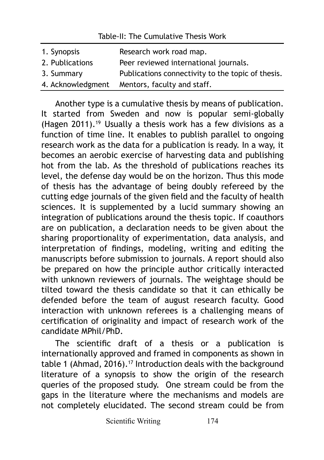## Table-II: The Cumulative Thesis Work

| 1. Synopsis     | Research work road map.                           |
|-----------------|---------------------------------------------------|
| 2. Publications | Peer reviewed international journals.             |
| 3. Summary      | Publications connectivity to the topic of thesis. |
|                 | 4. Acknowledgment Mentors, faculty and staff.     |

Another type is a cumulative thesis by means of publication. It started from Sweden and now is popular semi-globally (Hagen 2011).19 Usually a thesis work has a few divisions as a function of time line. It enables to publish parallel to ongoing research work as the data for a publication is ready. In a way, it becomes an aerobic exercise of harvesting data and publishing hot from the lab. As the threshold of publications reaches its level, the defense day would be on the horizon. Thus this mode of thesis has the advantage of being doubly refereed by the cutting edge journals of the given field and the faculty of health sciences. It is supplemented by a lucid summary showing an integration of publications around the thesis topic. If coauthors are on publication, a declaration needs to be given about the sharing proportionality of experimentation, data analysis, and interpretation of findings, modeling, writing and editing the manuscripts before submission to journals. A report should also be prepared on how the principle author critically interacted with unknown reviewers of journals. The weightage should be tilted toward the thesis candidate so that it can ethically be defended before the team of august research faculty. Good interaction with unknown referees is a challenging means of certification of originality and impact of research work of the candidate MPhil/PhD.

The scientific draft of a thesis or a publication is internationally approved and framed in components as shown in table 1 (Ahmad, 2016).<sup>17</sup> Introduction deals with the background literature of a synopsis to show the origin of the research queries of the proposed study. One stream could be from the gaps in the literature where the mechanisms and models are not completely elucidated. The second stream could be from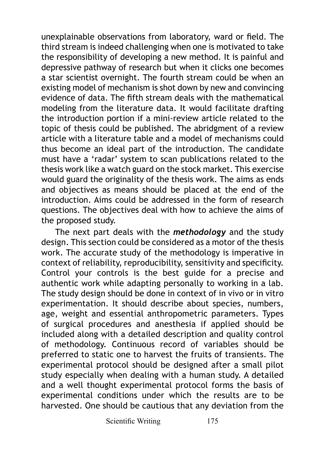unexplainable observations from laboratory, ward or field. The third stream is indeed challenging when one is motivated to take the responsibility of developing a new method. It is painful and depressive pathway of research but when it clicks one becomes a star scientist overnight. The fourth stream could be when an existing model of mechanism is shot down by new and convincing evidence of data. The fifth stream deals with the mathematical modeling from the literature data. It would facilitate drafting the introduction portion if a mini-review article related to the topic of thesis could be published. The abridgment of a review article with a literature table and a model of mechanisms could thus become an ideal part of the introduction. The candidate must have a 'radar' system to scan publications related to the thesis work like a watch guard on the stock market. This exercise would guard the originality of the thesis work. The aims as ends and objectives as means should be placed at the end of the introduction. Aims could be addressed in the form of research questions. The objectives deal with how to achieve the aims of the proposed study.

The next part deals with the *methodology* and the study design. This section could be considered as a motor of the thesis work. The accurate study of the methodology is imperative in context of reliability, reproducibility, sensitivity and specificity. Control your controls is the best guide for a precise and authentic work while adapting personally to working in a lab. The study design should be done in context of in vivo or in vitro experimentation. It should describe about species, numbers, age, weight and essential anthropometric parameters. Types of surgical procedures and anesthesia if applied should be included along with a detailed description and quality control of methodology. Continuous record of variables should be preferred to static one to harvest the fruits of transients. The experimental protocol should be designed after a small pilot study especially when dealing with a human study. A detailed and a well thought experimental protocol forms the basis of experimental conditions under which the results are to be harvested. One should be cautious that any deviation from the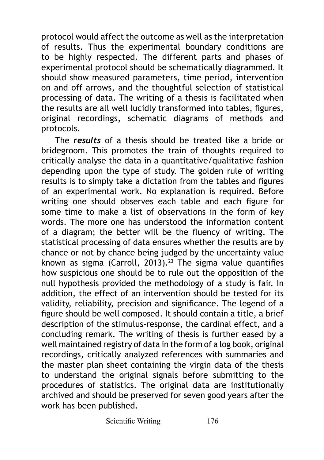protocol would affect the outcome as well as the interpretation of results. Thus the experimental boundary conditions are to be highly respected. The different parts and phases of experimental protocol should be schematically diagrammed. It should show measured parameters, time period, intervention on and off arrows, and the thoughtful selection of statistical processing of data. The writing of a thesis is facilitated when the results are all well lucidly transformed into tables, figures, original recordings, schematic diagrams of methods and protocols.

The *results* of a thesis should be treated like a bride or bridegroom. This promotes the train of thoughts required to critically analyse the data in a quantitative/qualitative fashion depending upon the type of study. The golden rule of writing results is to simply take a dictation from the tables and figures of an experimental work. No explanation is required. Before writing one should observes each table and each figure for some time to make a list of observations in the form of key words. The more one has understood the information content of a diagram; the better will be the fluency of writing. The statistical processing of data ensures whether the results are by chance or not by chance being judged by the uncertainty value known as sigma (Carroll, 2013).<sup>23</sup> The sigma value quantifies how suspicious one should be to rule out the opposition of the null hypothesis provided the methodology of a study is fair. In addition, the effect of an intervention should be tested for its validity, reliability, precision and significance. The legend of a figure should be well composed. It should contain a title, a brief description of the stimulus-response, the cardinal effect, and a concluding remark. The writing of thesis is further eased by a well maintained registry of data in the form of a log book, original recordings, critically analyzed references with summaries and the master plan sheet containing the virgin data of the thesis to understand the original signals before submitting to the procedures of statistics. The original data are institutionally archived and should be preserved for seven good years after the work has been published.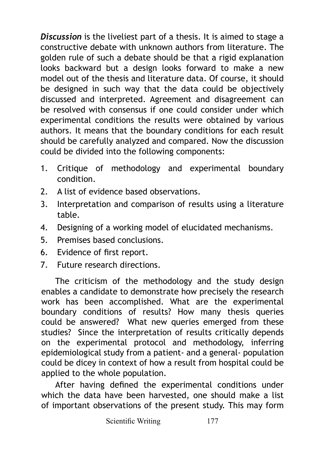*Discussion* is the liveliest part of a thesis. It is aimed to stage a constructive debate with unknown authors from literature. The golden rule of such a debate should be that a rigid explanation looks backward but a design looks forward to make a new model out of the thesis and literature data. Of course, it should be designed in such way that the data could be objectively discussed and interpreted. Agreement and disagreement can be resolved with consensus if one could consider under which experimental conditions the results were obtained by various authors. It means that the boundary conditions for each result should be carefully analyzed and compared. Now the discussion could be divided into the following components:

- 1. Critique of methodology and experimental boundary condition.
- 2. A list of evidence based observations.
- 3. Interpretation and comparison of results using a literature table.
- 4. Designing of a working model of elucidated mechanisms.
- 5. Premises based conclusions.
- 6. Evidence of first report.
- 7. Future research directions.

The criticism of the methodology and the study design enables a candidate to demonstrate how precisely the research work has been accomplished. What are the experimental boundary conditions of results? How many thesis queries could be answered? What new queries emerged from these studies? Since the interpretation of results critically depends on the experimental protocol and methodology, inferring epidemiological study from a patient- and a general- population could be dicey in context of how a result from hospital could be applied to the whole population.

After having defined the experimental conditions under which the data have been harvested, one should make a list of important observations of the present study. This may form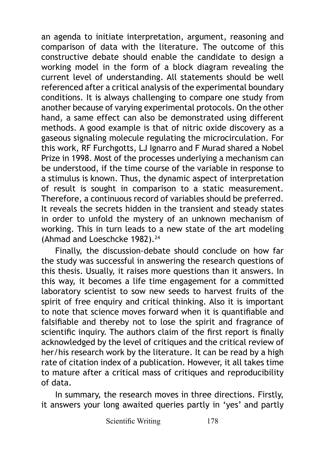an agenda to initiate interpretation, argument, reasoning and comparison of data with the literature. The outcome of this constructive debate should enable the candidate to design a working model in the form of a block diagram revealing the current level of understanding. All statements should be well referenced after a critical analysis of the experimental boundary conditions. It is always challenging to compare one study from another because of varying experimental protocols. On the other hand, a same effect can also be demonstrated using different methods. A good example is that of nitric oxide discovery as a gaseous signaling molecule regulating the microcirculation. For this work, RF Furchgotts, LJ Ignarro and F Murad shared a Nobel Prize in 1998. Most of the processes underlying a mechanism can be understood, if the time course of the variable in response to a stimulus is known. Thus, the dynamic aspect of interpretation of result is sought in comparison to a static measurement. Therefore, a continuous record of variables should be preferred. It reveals the secrets hidden in the transient and steady states in order to unfold the mystery of an unknown mechanism of working. This in turn leads to a new state of the art modeling (Ahmad and Loeschcke 1982).<sup>24</sup>

Finally, the discussion-debate should conclude on how far the study was successful in answering the research questions of this thesis. Usually, it raises more questions than it answers. In this way, it becomes a life time engagement for a committed laboratory scientist to sow new seeds to harvest fruits of the spirit of free enquiry and critical thinking. Also it is important to note that science moves forward when it is quantifiable and falsifiable and thereby not to lose the spirit and fragrance of scientific inquiry. The authors claim of the first report is finally acknowledged by the level of critiques and the critical review of her/his research work by the literature. It can be read by a high rate of citation index of a publication. However, it all takes time to mature after a critical mass of critiques and reproducibility of data.

In summary, the research moves in three directions. Firstly, it answers your long awaited queries partly in 'yes' and partly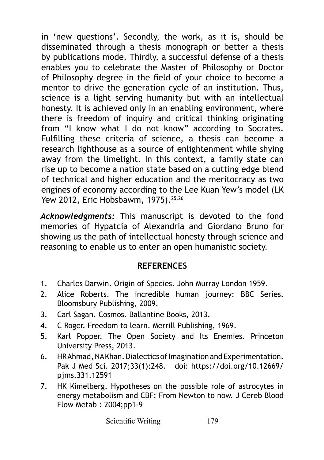in 'new questions'. Secondly, the work, as it is, should be disseminated through a thesis monograph or better a thesis by publications mode. Thirdly, a successful defense of a thesis enables you to celebrate the Master of Philosophy or Doctor of Philosophy degree in the field of your choice to become a mentor to drive the generation cycle of an institution. Thus, science is a light serving humanity but with an intellectual honesty. It is achieved only in an enabling environment, where there is freedom of inquiry and critical thinking originating from "I know what I do not know" according to Socrates. Fulfilling these criteria of science, a thesis can become a research lighthouse as a source of enlightenment while shying away from the limelight. In this context, a family state can rise up to become a nation state based on a cutting edge blend of technical and higher education and the meritocracy as two engines of economy according to the Lee Kuan Yew's model (LK Yew 2012, Eric Hobsbawm, 1975).<sup>25,26</sup>

*Acknowledgments:* This manuscript is devoted to the fond memories of Hypatcia of Alexandria and Giordano Bruno for showing us the path of intellectual honesty through science and reasoning to enable us to enter an open humanistic society.

## **REFERENCES**

- 1. Charles Darwin. Origin of Species. John Murray London 1959.
- 2. Alice Roberts. The incredible human journey: BBC Series. Bloomsbury Publishing, 2009.
- 3. Carl Sagan. Cosmos. Ballantine Books, 2013.
- 4. C Roger. Freedom to learn. Merrill Publishing, 1969.
- 5. Karl Popper. The Open Society and Its Enemies. Princeton University Press, 2013.
- 6. HR Ahmad, NA Khan. Dialectics of Imagination and Experimentation. Pak J Med Sci. 2017;33(1):248. doi: https://doi.org/10.12669/ pjms.331.12591
- 7. HK Kimelberg. Hypotheses on the possible role of astrocytes in energy metabolism and CBF: From Newton to now. J Cereb Blood Flow Metab : 2004;pp1-9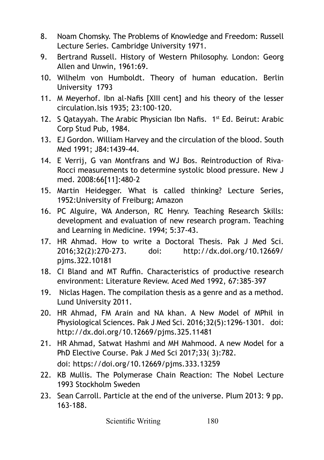- 8. Noam Chomsky. The Problems of Knowledge and Freedom: Russell Lecture Series. Cambridge University 1971.
- 9. Bertrand Russell. History of Western Philosophy. London: Georg Allen and Unwin, 1961:69.
- 10. Wilhelm von Humboldt. Theory of human education. Berlin University 1793
- 11. M Meyerhof. Ibn al-Nafis [XIII cent] and his theory of the lesser circulation.Isis 1935; 23:100-120.
- 12. S Qatayyah. The Arabic Physician Ibn Nafis. 1<sup>st</sup> Ed. Beirut: Arabic Corp Stud Pub, 1984.
- 13. EJ Gordon. William Harvey and the circulation of the blood. South Med 1991; J84:1439-44.
- 14. E Verrij, G van Montfrans and WJ Bos. Reintroduction of Riva-Rocci measurements to determine systolic blood pressure. New J med. 2008:66[11]:480-2
- 15. Martin Heidegger. What is called thinking? Lecture Series, 1952:University of Freiburg; Amazon
- 16. PC Alguire, WA Anderson, RC Henry. Teaching Research Skills: development and evaluation of new research program. Teaching and Learning in Medicine. 1994; 5:37-43.
- 17. HR Ahmad. How to write a Doctoral Thesis. Pak J Med Sci. 2016;32(2):270-273. doi: http://dx.doi.org/10.12669/ pjms.322.10181
- 18. CI Bland and MT Ruffin. Characteristics of productive research environment: Literature Review. Aced Med 1992, 67:385-397
- 19. Niclas Hagen. The compilation thesis as a genre and as a method. Lund University 2011.
- 20. HR Ahmad, FM Arain and NA khan. A New Model of MPhil in Physiological Sciences. Pak J Med Sci. 2016;32(5):1296-1301. doi: http://dx.doi.org/10.12669/pjms.325.11481
- 21. HR Ahmad, Satwat Hashmi and MH Mahmood. A new Model for a PhD Elective Course. Pak J Med Sci 2017;33( 3):782. doi: https://doi.org/10.12669/pjms.333.13259
- 22. KB Mullis. The Polymerase Chain Reaction: The Nobel Lecture 1993 Stockholm Sweden
- 23. Sean Carroll. Particle at the end of the universe. Plum 2013: 9 pp. 163-188.